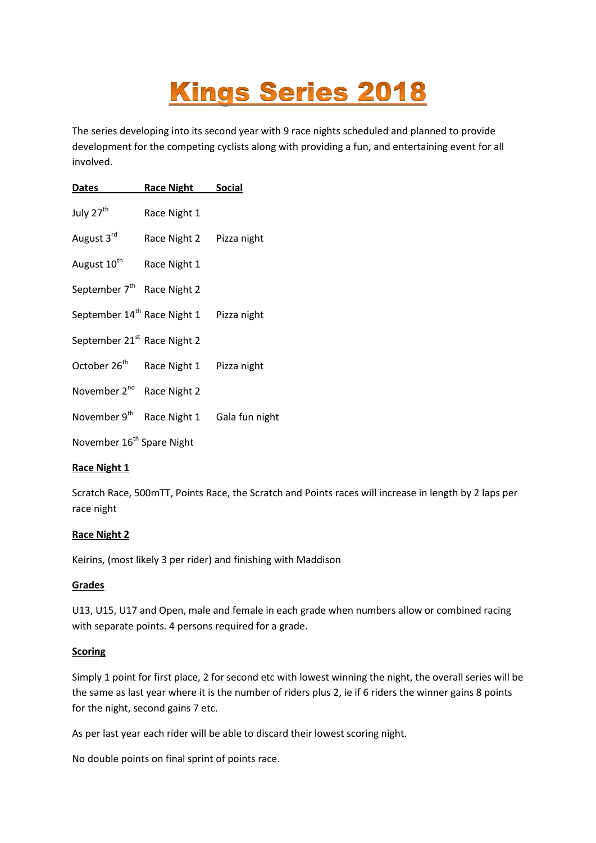# **Kings Series 2018**

The series developing into its second year with 9 race nights scheduled and planned to provide development for the competing cyclists along with providing a fun, and entertaining event for all involved.

| <b>Dates</b>                            | <b>Race Night</b>                       | <b>Social</b>  |
|-----------------------------------------|-----------------------------------------|----------------|
| July 27 <sup>th</sup>                   | Race Night 1                            |                |
| August 3rd                              | Race Night 2                            | Pizza night    |
| August 10 <sup>th</sup>                 | Race Night 1                            |                |
| September 7 <sup>th</sup>               | Race Night 2                            |                |
|                                         | September 14 <sup>th</sup> Race Night 1 | Pizza night    |
| September 21 <sup>st</sup> Race Night 2 |                                         |                |
| October 26 <sup>th</sup>                | Race Night 1                            | Pizza night    |
| November 2 <sup>nd</sup>                | Race Night 2                            |                |
| November 9 <sup>th</sup>                | Race Night 1                            | Gala fun night |
| November 16 <sup>th</sup> Spare Night   |                                         |                |

# **Race Night 1**

Scratch Race, 500mTT, Points Race, the Scratch and Points races will increase in length by 2 laps per race night

# **Race Night 2**

Keirins, (most likely 3 per rider) and finishing with Maddison

# **Grades**

U13, U15, U17 and Open, male and female in each grade when numbers allow or combined racing with separate points. 4 persons required for a grade.

# **Scoring**

Simply 1 point for first place, 2 for second etc with lowest winning the night, the overall series will be the same as last year where it is the number of riders plus 2, ie if 6 riders the winner gains 8 points for the night, second gains 7 etc.

As per last year each rider will be able to discard their lowest scoring night.

No double points on final sprint of points race.